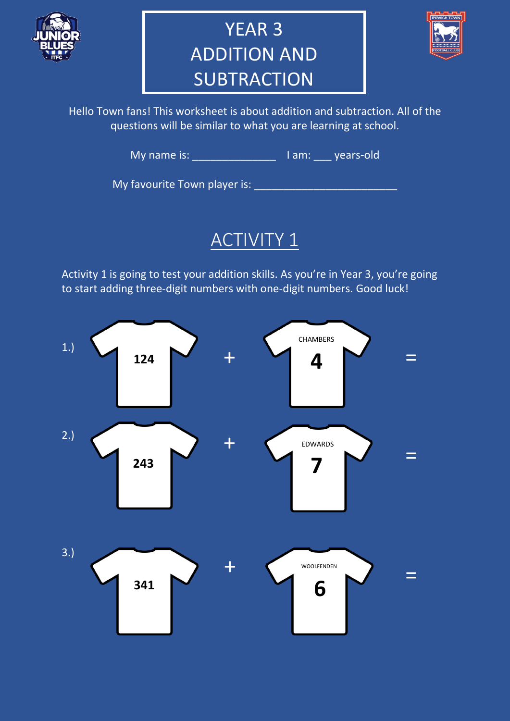

# YEAR 3 ADDITION AND **SUBTRACTION**



Hello Town fans! This worksheet is about addition and subtraction. All of the questions will be similar to what you are learning at school.

My name is: \_\_\_\_\_\_\_\_\_\_\_\_\_\_\_\_\_\_\_ I am: \_\_\_\_ years-old

My favourite Town player is: \_\_\_\_\_\_\_\_\_\_\_\_\_\_\_\_\_\_\_\_\_\_\_\_

#### ACTIVITY 1

Activity 1 is going to test your addition skills. As you're in Year 3, you're going to start adding three-digit numbers with one-digit numbers. Good luck!

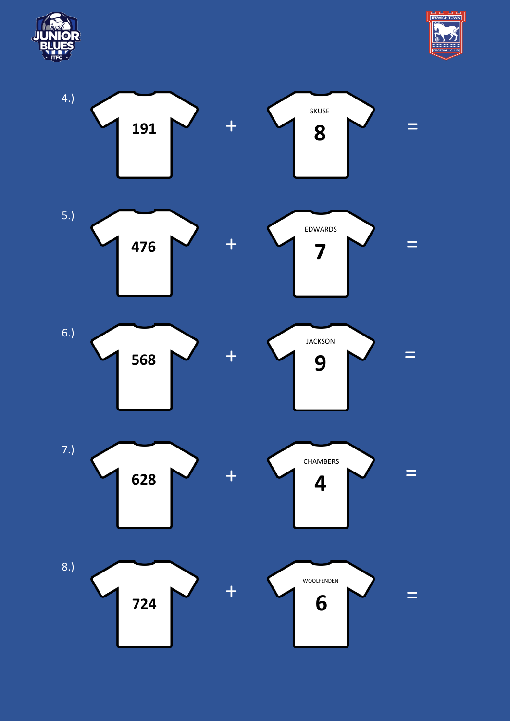



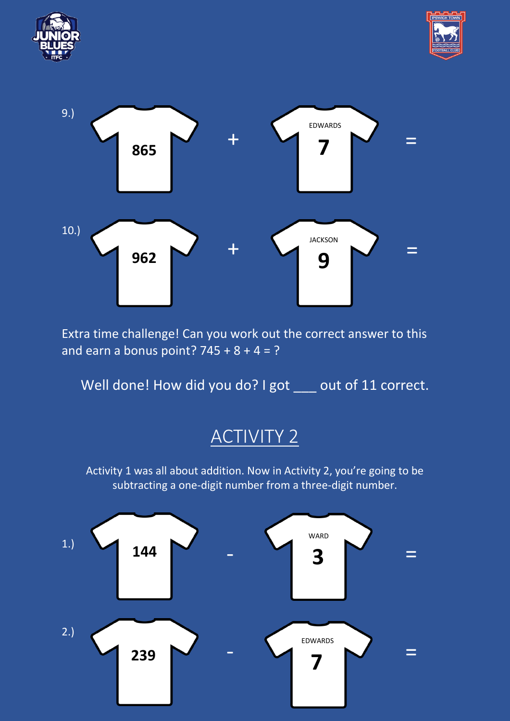





Extra time challenge! Can you work out the correct answer to this and earn a bonus point?  $745 + 8 + 4 = ?$ 

Well done! How did you do? I got \_\_\_ out of 11 correct.

## ACTIVITY 2

Activity 1 was all about addition. Now in Activity 2, you're going to be subtracting a one-digit number from a three-digit number.

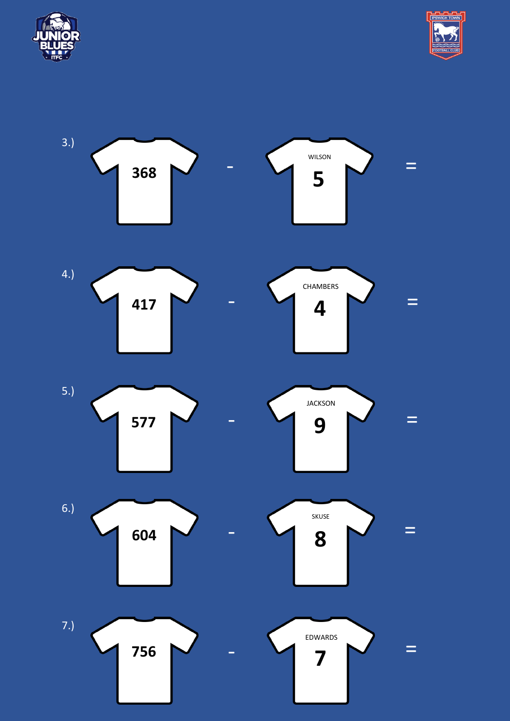



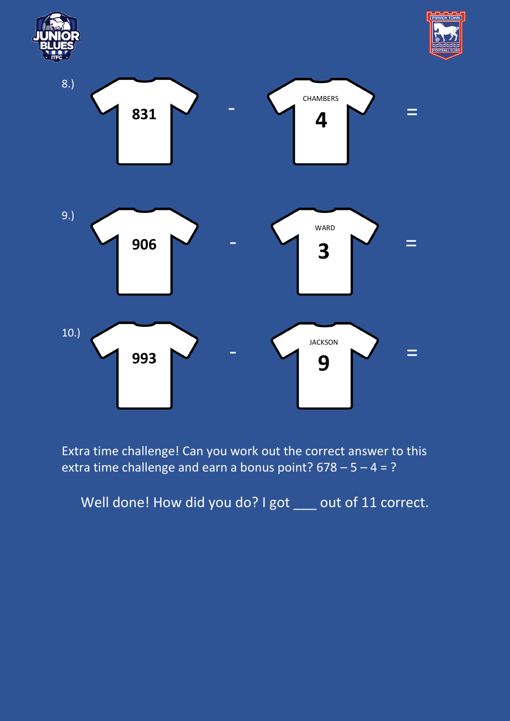





Extra time challenge! Can you work out the correct answer to this extra time challenge and earn a bonus point?  $678 - 5 - 4 = ?$ 

Well done! How did you do? I got \_\_\_ out of 11 correct.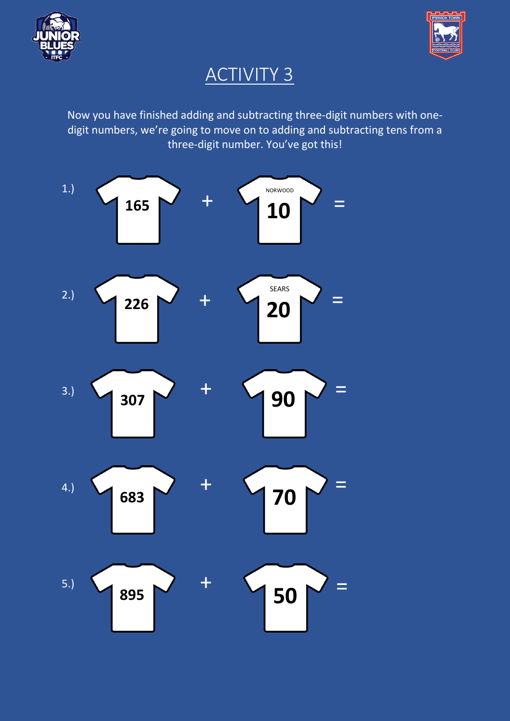



#### ACTIVITY 3

Now you have finished adding and subtracting three-digit numbers with onedigit numbers, we're going to move on to adding and subtracting tens from a three-digit number. You've got this!

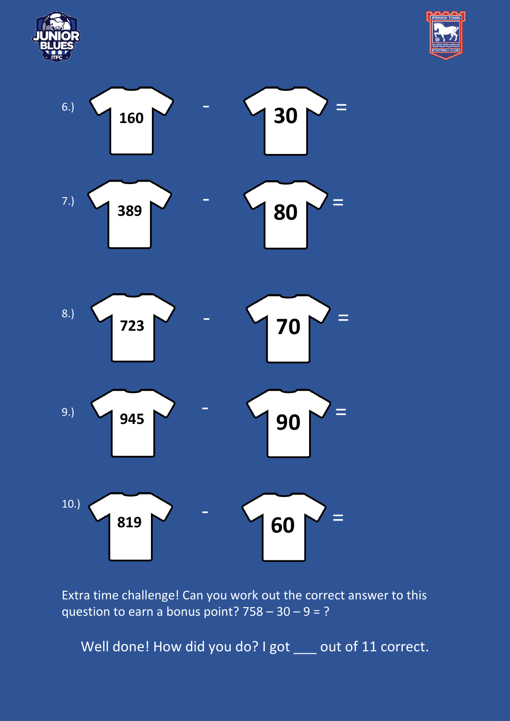





Extra time challenge! Can you work out the correct answer to this question to earn a bonus point?  $758 - 30 - 9 = ?$ 

Well done! How did you do? I got \_\_\_ out of 11 correct.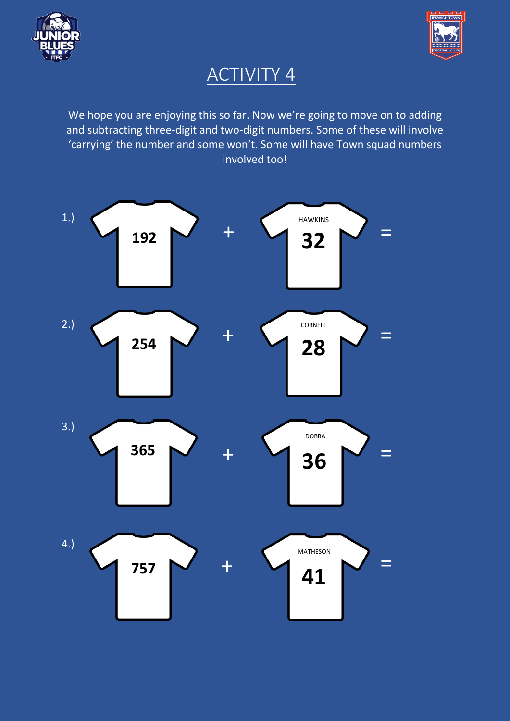![](_page_7_Picture_0.jpeg)

![](_page_7_Picture_1.jpeg)

## ACTIVITY 4

We hope you are enjoying this so far. Now we're going to move on to adding and subtracting three-digit and two-digit numbers. Some of these will involve 'carrying' the number and some won't. Some will have Town squad numbers involved too!

![](_page_7_Figure_4.jpeg)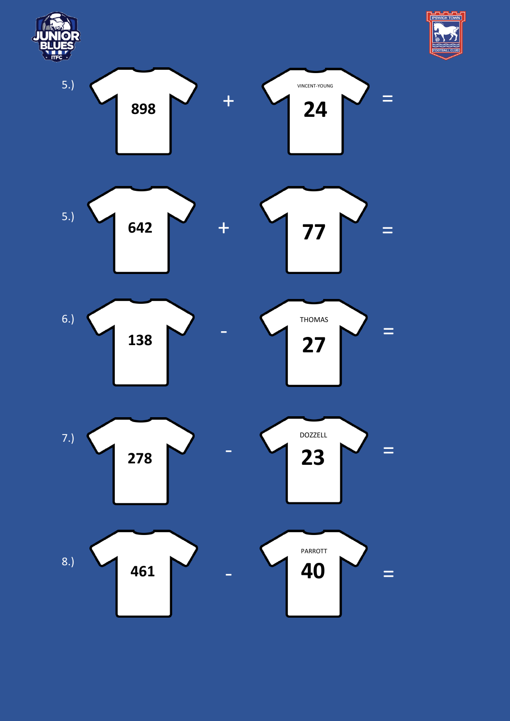![](_page_8_Figure_0.jpeg)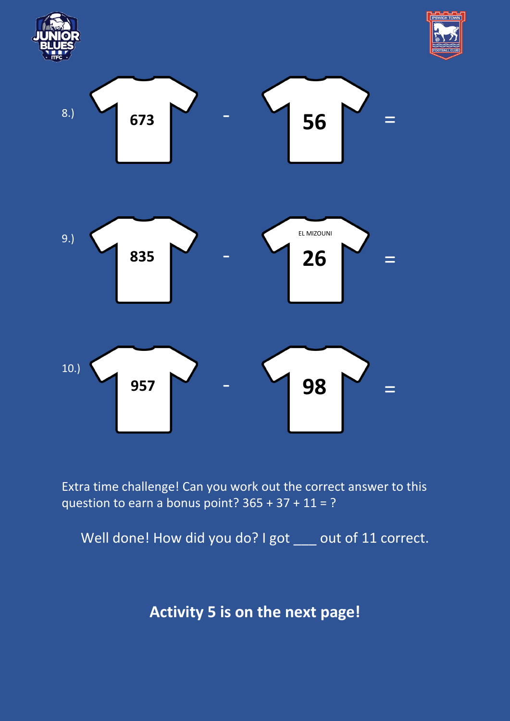![](_page_9_Figure_0.jpeg)

![](_page_9_Picture_1.jpeg)

![](_page_9_Figure_2.jpeg)

Extra time challenge! Can you work out the correct answer to this question to earn a bonus point?  $365 + 37 + 11 = ?$ 

Well done! How did you do? I got \_\_\_ out of 11 correct.

**Activity 5 is on the next page!**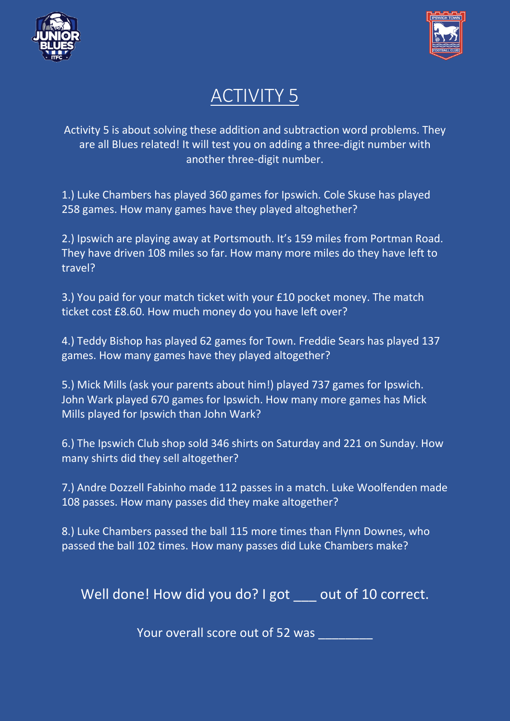![](_page_10_Picture_0.jpeg)

![](_page_10_Picture_1.jpeg)

## ACTIVITY 5

Activity 5 is about solving these addition and subtraction word problems. They are all Blues related! It will test you on adding a three-digit number with another three-digit number.

1.) Luke Chambers has played 360 games for Ipswich. Cole Skuse has played 258 games. How many games have they played altoghether?

2.) Ipswich are playing away at Portsmouth. It's 159 miles from Portman Road. They have driven 108 miles so far. How many more miles do they have left to travel?

3.) You paid for your match ticket with your £10 pocket money. The match ticket cost £8.60. How much money do you have left over?

4.) Teddy Bishop has played 62 games for Town. Freddie Sears has played 137 games. How many games have they played altogether?

5.) Mick Mills (ask your parents about him!) played 737 games for Ipswich. John Wark played 670 games for Ipswich. How many more games has Mick Mills played for Ipswich than John Wark?

6.) The Ipswich Club shop sold 346 shirts on Saturday and 221 on Sunday. How many shirts did they sell altogether?

7.) Andre Dozzell Fabinho made 112 passes in a match. Luke Woolfenden made 108 passes. How many passes did they make altogether?

8.) Luke Chambers passed the ball 115 more times than Flynn Downes, who passed the ball 102 times. How many passes did Luke Chambers make?

Well done! How did you do? I got out of 10 correct.

Your overall score out of 52 was